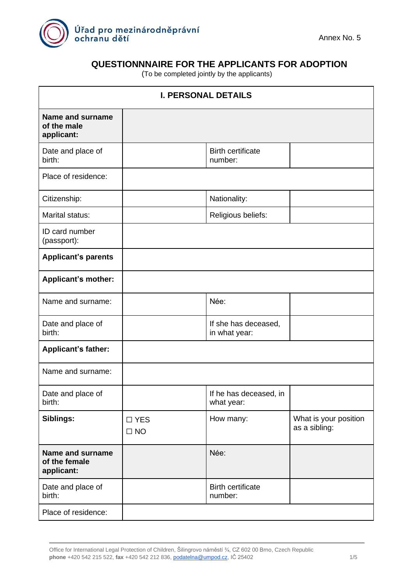

## **QUESTIONNNAIRE FOR THE APPLICANTS FOR ADOPTION**

(To be completed jointly by the applicants)

| <b>I. PERSONAL DETAILS</b>                      |                            |                                       |                                        |
|-------------------------------------------------|----------------------------|---------------------------------------|----------------------------------------|
| Name and surname<br>of the male<br>applicant:   |                            |                                       |                                        |
| Date and place of<br>birth:                     |                            | <b>Birth certificate</b><br>number:   |                                        |
| Place of residence:                             |                            |                                       |                                        |
| Citizenship:                                    |                            | Nationality:                          |                                        |
| Marital status:                                 |                            | Religious beliefs:                    |                                        |
| ID card number<br>(passport):                   |                            |                                       |                                        |
| <b>Applicant's parents</b>                      |                            |                                       |                                        |
| <b>Applicant's mother:</b>                      |                            |                                       |                                        |
| Name and surname:                               |                            | Née:                                  |                                        |
| Date and place of<br>birth:                     |                            | If she has deceased,<br>in what year: |                                        |
| <b>Applicant's father:</b>                      |                            |                                       |                                        |
| Name and surname:                               |                            |                                       |                                        |
| Date and place of<br>birth:                     |                            | If he has deceased, in<br>what year:  |                                        |
| Siblings:                                       | $\square$ YES<br>$\Box$ NO | How many:                             | What is your position<br>as a sibling: |
| Name and surname<br>of the female<br>applicant: |                            | Née:                                  |                                        |
| Date and place of<br>birth:                     |                            | <b>Birth certificate</b><br>number:   |                                        |
| Place of residence:                             |                            |                                       |                                        |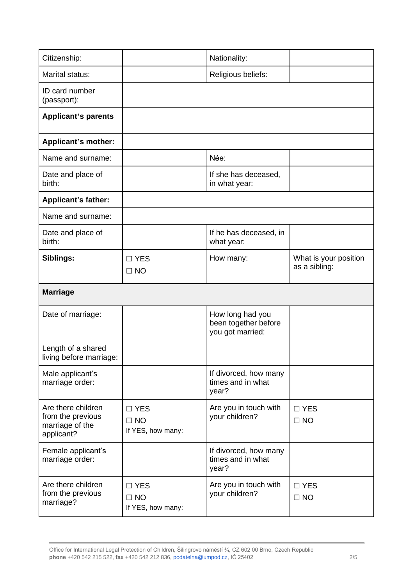| Citizenship:                                                             |                                                 | Nationality:                                                 |                                        |  |
|--------------------------------------------------------------------------|-------------------------------------------------|--------------------------------------------------------------|----------------------------------------|--|
| Marital status:                                                          | Religious beliefs:                              |                                                              |                                        |  |
| ID card number<br>(passport):                                            |                                                 |                                                              |                                        |  |
| <b>Applicant's parents</b>                                               |                                                 |                                                              |                                        |  |
| Applicant's mother:                                                      |                                                 |                                                              |                                        |  |
| Name and surname:                                                        |                                                 | Née:                                                         |                                        |  |
| Date and place of<br>birth:                                              |                                                 | If she has deceased,<br>in what year:                        |                                        |  |
| <b>Applicant's father:</b>                                               |                                                 |                                                              |                                        |  |
| Name and surname:                                                        |                                                 |                                                              |                                        |  |
| Date and place of<br>birth:                                              |                                                 | If he has deceased, in<br>what year:                         |                                        |  |
| Siblings:                                                                | $\Box$ YES<br>$\Box$ NO                         | How many:                                                    | What is your position<br>as a sibling: |  |
|                                                                          |                                                 |                                                              |                                        |  |
| <b>Marriage</b>                                                          |                                                 |                                                              |                                        |  |
| Date of marriage:                                                        |                                                 | How long had you<br>been together before<br>you got married: |                                        |  |
| Length of a shared<br>living before marriage:                            |                                                 |                                                              |                                        |  |
| Male applicant's<br>marriage order:                                      |                                                 | If divorced, how many<br>times and in what<br>year?          |                                        |  |
| Are there children<br>from the previous<br>marriage of the<br>applicant? | $\square$ YES<br>$\Box$ NO<br>If YES, how many: | Are you in touch with<br>your children?                      | $\square$ YES<br>$\square$ NO          |  |
| Female applicant's<br>marriage order:                                    |                                                 | If divorced, how many<br>times and in what<br>year?          |                                        |  |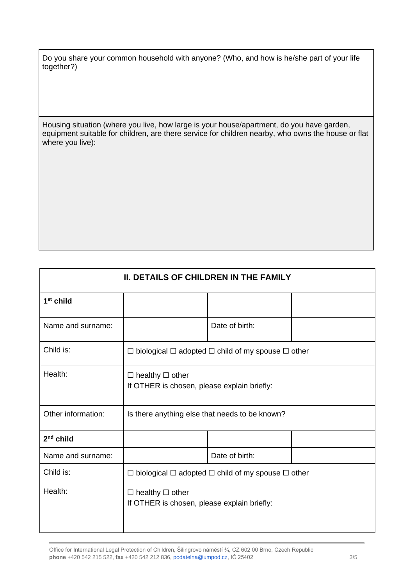Do you share your common household with anyone? (Who, and how is he/she part of your life together?)

Housing situation (where you live, how large is your house/apartment, do you have garden, equipment suitable for children, are there service for children nearby, who owns the house or flat where you live):

| <b>II. DETAILS OF CHILDREN IN THE FAMILY</b> |                                                                            |                |  |
|----------------------------------------------|----------------------------------------------------------------------------|----------------|--|
| $1st$ child                                  |                                                                            |                |  |
| Name and surname:                            |                                                                            | Date of birth: |  |
| Child is:                                    | $\Box$ biological $\Box$ adopted $\Box$ child of my spouse $\Box$ other    |                |  |
| Health:                                      | $\Box$ healthy $\Box$ other<br>If OTHER is chosen, please explain briefly: |                |  |
| Other information:                           | Is there anything else that needs to be known?                             |                |  |
| $2nd$ child                                  |                                                                            |                |  |
| Name and surname:                            |                                                                            | Date of birth: |  |
| Child is:                                    | $\Box$ biological $\Box$ adopted $\Box$ child of my spouse $\Box$ other    |                |  |
| Health:                                      | $\Box$ healthy $\Box$ other<br>If OTHER is chosen, please explain briefly: |                |  |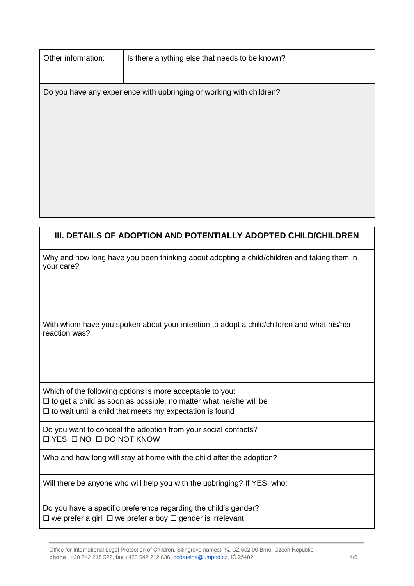| Other information:                                                   | Is there anything else that needs to be known? |  |  |
|----------------------------------------------------------------------|------------------------------------------------|--|--|
|                                                                      |                                                |  |  |
| Do you have any experience with upbringing or working with children? |                                                |  |  |
|                                                                      |                                                |  |  |
|                                                                      |                                                |  |  |
|                                                                      |                                                |  |  |
|                                                                      |                                                |  |  |
|                                                                      |                                                |  |  |
|                                                                      |                                                |  |  |
|                                                                      |                                                |  |  |

## **III. DETAILS OF ADOPTION AND POTENTIALLY ADOPTED CHILD/CHILDREN**

| Why and how long have you been thinking about adopting a child/children and taking them in |  |  |
|--------------------------------------------------------------------------------------------|--|--|
| your care?                                                                                 |  |  |

With whom have you spoken about your intention to adopt a child/children and what his/her reaction was?

Which of the following options is more acceptable to you:  $\Box$  to get a child as soon as possible, no matter what he/she will be  $\Box$  to wait until a child that meets my expectation is found

Do you want to conceal the adoption from your social contacts? ☐ YES ☐ NO ☐ DO NOT KNOW

Who and how long will stay at home with the child after the adoption?

Will there be anyone who will help you with the upbringing? If YES, who:

Do you have a specific preference regarding the child's gender?  $\Box$  we prefer a girl  $\Box$  we prefer a boy  $\Box$  gender is irrelevant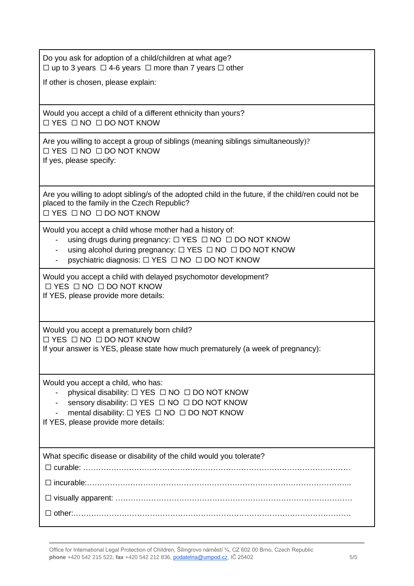Do you ask for adoption of a child/children at what age? ☐ up to 3 years ☐ 4-6 years ☐ more than 7 years ☐ other

If other is chosen, please explain:

Would you accept a child of a different ethnicity than yours? ☐ YES ☐ NO ☐ DO NOT KNOW

Are you willing to accept a group of siblings (meaning siblings simultaneously)? ☐ YES ☐ NO ☐ DO NOT KNOW If yes, please specify:

Are you willing to adopt sibling/s of the adopted child in the future, if the child/ren could not be placed to the family in the Czech Republic? ☐ YES ☐ NO ☐ DO NOT KNOW

Would you accept a child whose mother had a history of:

- using drugs during pregnancy: □ YES □ NO □ DO NOT KNOW
- using alcohol during pregnancy: □ YES □ NO □ DO NOT KNOW
- psychiatric diagnosis: □ YES □ NO □ DO NOT KNOW

Would you accept a child with delayed psychomotor development? ☐ YES ☐ NO ☐ DO NOT KNOW If YES, please provide more details:

Would you accept a prematurely born child? ☐ YES ☐ NO ☐ DO NOT KNOW If your answer is YES, please state how much prematurely (a week of pregnancy):

Would you accept a child, who has:

- physical disability:  $□$  YES  $□$  NO  $□$  DO NOT KNOW
- sensory disability: □ YES □ NO □ DO NOT KNOW
- mental disability:  $□$  YES  $□$  NO  $□$  DO NOT KNOW

If YES, please provide more details:

What specific disease or disability of the child would you tolerate?

☐ curable: …………………………………………………………………………………………… ☐ incurable:………………………………………………………………………………………….. ☐ visually apparent: ………………………………………………………………………………… ☐ other:……………………………………………………………………………………………….